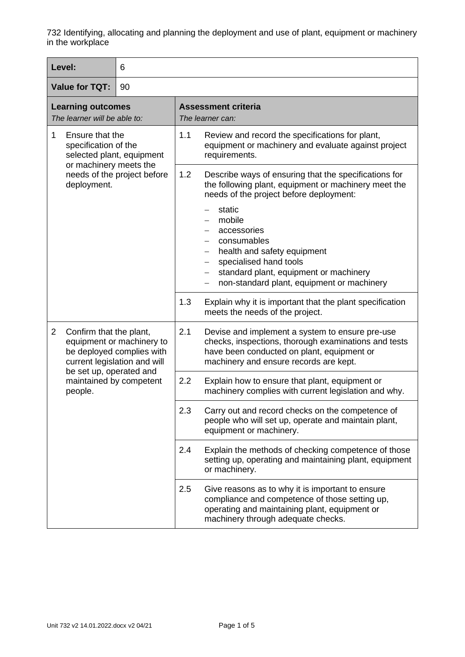| Level:                                                                                                             | 6                                                                                                                                                                       |                                                |                                                                                                                                                                                                                      |  |
|--------------------------------------------------------------------------------------------------------------------|-------------------------------------------------------------------------------------------------------------------------------------------------------------------------|------------------------------------------------|----------------------------------------------------------------------------------------------------------------------------------------------------------------------------------------------------------------------|--|
| <b>Value for TQT:</b><br>90                                                                                        |                                                                                                                                                                         |                                                |                                                                                                                                                                                                                      |  |
| <b>Learning outcomes</b><br>The learner will be able to:                                                           |                                                                                                                                                                         | <b>Assessment criteria</b><br>The learner can: |                                                                                                                                                                                                                      |  |
| Ensure that the<br>1<br>specification of the<br>selected plant, equipment<br>or machinery meets the<br>deployment. | needs of the project before                                                                                                                                             | 1.1                                            | Review and record the specifications for plant,<br>equipment or machinery and evaluate against project<br>requirements.                                                                                              |  |
|                                                                                                                    |                                                                                                                                                                         | 1.2                                            | Describe ways of ensuring that the specifications for<br>the following plant, equipment or machinery meet the<br>needs of the project before deployment:                                                             |  |
|                                                                                                                    |                                                                                                                                                                         |                                                | static<br>mobile<br>accessories<br>consumables<br>health and safety equipment<br>specialised hand tools<br>$\qquad \qquad -$<br>standard plant, equipment or machinery<br>non-standard plant, equipment or machinery |  |
|                                                                                                                    |                                                                                                                                                                         | 1.3                                            | Explain why it is important that the plant specification<br>meets the needs of the project.                                                                                                                          |  |
| $\overline{2}$                                                                                                     | Confirm that the plant,<br>equipment or machinery to<br>be deployed complies with<br>current legislation and will<br>be set up, operated and<br>maintained by competent | 2.1                                            | Devise and implement a system to ensure pre-use<br>checks, inspections, thorough examinations and tests<br>have been conducted on plant, equipment or<br>machinery and ensure records are kept.                      |  |
| people.                                                                                                            |                                                                                                                                                                         | 2.2                                            | Explain how to ensure that plant, equipment or<br>machinery complies with current legislation and why.                                                                                                               |  |
|                                                                                                                    |                                                                                                                                                                         | 2.3                                            | Carry out and record checks on the competence of<br>people who will set up, operate and maintain plant,<br>equipment or machinery.                                                                                   |  |
|                                                                                                                    |                                                                                                                                                                         | 2.4                                            | Explain the methods of checking competence of those<br>setting up, operating and maintaining plant, equipment<br>or machinery.                                                                                       |  |
|                                                                                                                    |                                                                                                                                                                         | 2.5                                            | Give reasons as to why it is important to ensure<br>compliance and competence of those setting up,<br>operating and maintaining plant, equipment or<br>machinery through adequate checks.                            |  |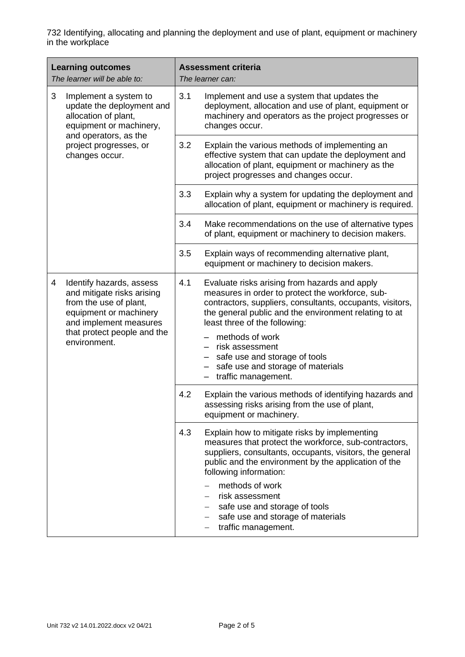| <b>Learning outcomes</b><br>The learner will be able to: |                                                                                                                                                                                     | <b>Assessment criteria</b><br>The learner can: |                                                                                                                                                                                                                                                          |
|----------------------------------------------------------|-------------------------------------------------------------------------------------------------------------------------------------------------------------------------------------|------------------------------------------------|----------------------------------------------------------------------------------------------------------------------------------------------------------------------------------------------------------------------------------------------------------|
| 3                                                        | Implement a system to<br>update the deployment and<br>allocation of plant,<br>equipment or machinery,<br>and operators, as the<br>project progresses, or<br>changes occur.          | 3.1                                            | Implement and use a system that updates the<br>deployment, allocation and use of plant, equipment or<br>machinery and operators as the project progresses or<br>changes occur.                                                                           |
|                                                          |                                                                                                                                                                                     | 3.2                                            | Explain the various methods of implementing an<br>effective system that can update the deployment and<br>allocation of plant, equipment or machinery as the<br>project progresses and changes occur.                                                     |
|                                                          |                                                                                                                                                                                     | 3.3                                            | Explain why a system for updating the deployment and<br>allocation of plant, equipment or machinery is required.                                                                                                                                         |
|                                                          |                                                                                                                                                                                     | 3.4                                            | Make recommendations on the use of alternative types<br>of plant, equipment or machinery to decision makers.                                                                                                                                             |
|                                                          |                                                                                                                                                                                     | 3.5                                            | Explain ways of recommending alternative plant,<br>equipment or machinery to decision makers.                                                                                                                                                            |
| 4                                                        | Identify hazards, assess<br>and mitigate risks arising<br>from the use of plant,<br>equipment or machinery<br>and implement measures<br>that protect people and the<br>environment. | 4.1                                            | Evaluate risks arising from hazards and apply<br>measures in order to protect the workforce, sub-<br>contractors, suppliers, consultants, occupants, visitors,<br>the general public and the environment relating to at<br>least three of the following: |
|                                                          |                                                                                                                                                                                     |                                                | methods of work<br>risk assessment<br>safe use and storage of tools<br>safe use and storage of materials<br>traffic management.<br>-                                                                                                                     |
|                                                          |                                                                                                                                                                                     | 4.2                                            | Explain the various methods of identifying hazards and<br>assessing risks arising from the use of plant,<br>equipment or machinery.                                                                                                                      |
|                                                          |                                                                                                                                                                                     | 4.3                                            | Explain how to mitigate risks by implementing<br>measures that protect the workforce, sub-contractors,<br>suppliers, consultants, occupants, visitors, the general<br>public and the environment by the application of the<br>following information:     |
|                                                          |                                                                                                                                                                                     |                                                | methods of work<br>risk assessment<br>safe use and storage of tools<br>safe use and storage of materials<br>traffic management.                                                                                                                          |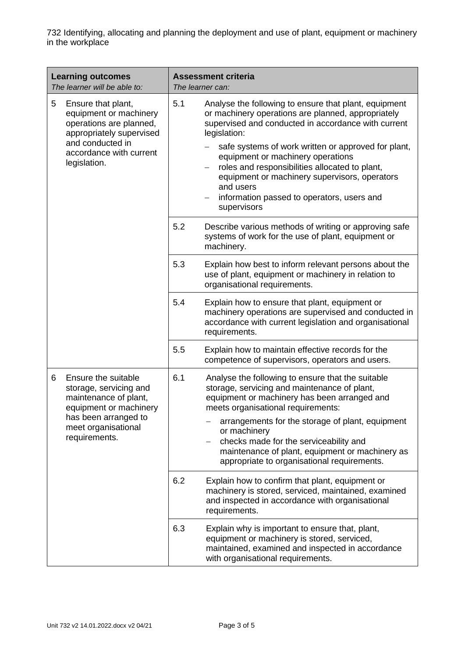| <b>Learning outcomes</b><br>The learner will be able to:                                                                                                                | <b>Assessment criteria</b><br>The learner can:                                                                                                                                                                                                                                                                                                                                                                                                                     |  |
|-------------------------------------------------------------------------------------------------------------------------------------------------------------------------|--------------------------------------------------------------------------------------------------------------------------------------------------------------------------------------------------------------------------------------------------------------------------------------------------------------------------------------------------------------------------------------------------------------------------------------------------------------------|--|
| 5<br>Ensure that plant,<br>equipment or machinery<br>operations are planned,<br>appropriately supervised<br>and conducted in<br>accordance with current<br>legislation. | 5.1<br>Analyse the following to ensure that plant, equipment<br>or machinery operations are planned, appropriately<br>supervised and conducted in accordance with current<br>legislation:<br>safe systems of work written or approved for plant,<br>equipment or machinery operations<br>roles and responsibilities allocated to plant,<br>equipment or machinery supervisors, operators<br>and users<br>information passed to operators, users and<br>supervisors |  |
|                                                                                                                                                                         | 5.2<br>Describe various methods of writing or approving safe<br>systems of work for the use of plant, equipment or<br>machinery.                                                                                                                                                                                                                                                                                                                                   |  |
|                                                                                                                                                                         | 5.3<br>Explain how best to inform relevant persons about the<br>use of plant, equipment or machinery in relation to<br>organisational requirements.                                                                                                                                                                                                                                                                                                                |  |
|                                                                                                                                                                         | 5.4<br>Explain how to ensure that plant, equipment or<br>machinery operations are supervised and conducted in<br>accordance with current legislation and organisational<br>requirements.                                                                                                                                                                                                                                                                           |  |
|                                                                                                                                                                         | 5.5<br>Explain how to maintain effective records for the<br>competence of supervisors, operators and users.                                                                                                                                                                                                                                                                                                                                                        |  |
| Ensure the suitable<br>6<br>storage, servicing and<br>maintenance of plant,<br>equipment or machinery<br>has been arranged to<br>meet organisational<br>requirements.   | 6.1<br>Analyse the following to ensure that the suitable<br>storage, servicing and maintenance of plant,<br>equipment or machinery has been arranged and<br>meets organisational requirements:<br>arrangements for the storage of plant, equipment<br>or machinery<br>checks made for the serviceability and<br>maintenance of plant, equipment or machinery as<br>appropriate to organisational requirements.                                                     |  |
|                                                                                                                                                                         | 6.2<br>Explain how to confirm that plant, equipment or<br>machinery is stored, serviced, maintained, examined<br>and inspected in accordance with organisational<br>requirements.                                                                                                                                                                                                                                                                                  |  |
|                                                                                                                                                                         | 6.3<br>Explain why is important to ensure that, plant,<br>equipment or machinery is stored, serviced,<br>maintained, examined and inspected in accordance<br>with organisational requirements.                                                                                                                                                                                                                                                                     |  |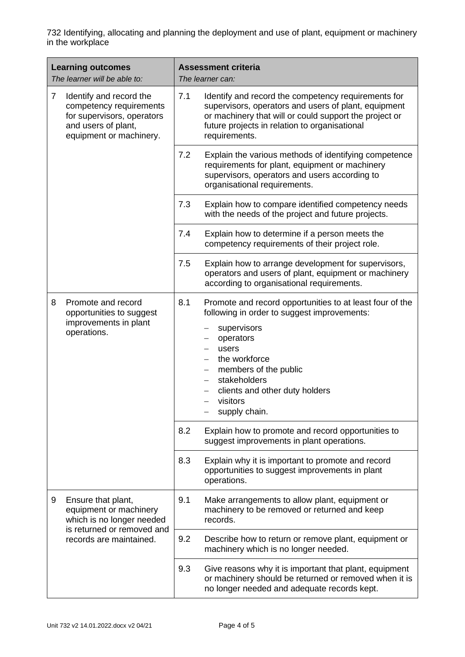| <b>Learning outcomes</b><br>The learner will be able to:                                    |                                                                                                                                    | <b>Assessment criteria</b><br>The learner can: |                                                                                                                                                                                                                                                                                            |
|---------------------------------------------------------------------------------------------|------------------------------------------------------------------------------------------------------------------------------------|------------------------------------------------|--------------------------------------------------------------------------------------------------------------------------------------------------------------------------------------------------------------------------------------------------------------------------------------------|
| $\overline{7}$<br>Identify and record the<br>and users of plant,<br>equipment or machinery. | competency requirements<br>for supervisors, operators                                                                              | 7.1                                            | Identify and record the competency requirements for<br>supervisors, operators and users of plant, equipment<br>or machinery that will or could support the project or<br>future projects in relation to organisational<br>requirements.                                                    |
|                                                                                             |                                                                                                                                    | 7.2                                            | Explain the various methods of identifying competence<br>requirements for plant, equipment or machinery<br>supervisors, operators and users according to<br>organisational requirements.                                                                                                   |
|                                                                                             |                                                                                                                                    | 7.3                                            | Explain how to compare identified competency needs<br>with the needs of the project and future projects.                                                                                                                                                                                   |
|                                                                                             |                                                                                                                                    | 7.4                                            | Explain how to determine if a person meets the<br>competency requirements of their project role.                                                                                                                                                                                           |
|                                                                                             |                                                                                                                                    | 7.5                                            | Explain how to arrange development for supervisors,<br>operators and users of plant, equipment or machinery<br>according to organisational requirements.                                                                                                                                   |
| 8                                                                                           | Promote and record<br>opportunities to suggest<br>improvements in plant<br>operations.                                             | 8.1                                            | Promote and record opportunities to at least four of the<br>following in order to suggest improvements:<br>supervisors<br>operators<br>users<br>the workforce<br>members of the public<br>stakeholders<br>clients and other duty holders<br>visitors<br>$\qquad \qquad -$<br>supply chain. |
|                                                                                             |                                                                                                                                    | 8.2                                            | Explain how to promote and record opportunities to<br>suggest improvements in plant operations.                                                                                                                                                                                            |
|                                                                                             |                                                                                                                                    | 8.3                                            | Explain why it is important to promote and record<br>opportunities to suggest improvements in plant<br>operations.                                                                                                                                                                         |
| 9                                                                                           | Ensure that plant,<br>equipment or machinery<br>which is no longer needed<br>is returned or removed and<br>records are maintained. | 9.1                                            | Make arrangements to allow plant, equipment or<br>machinery to be removed or returned and keep<br>records.                                                                                                                                                                                 |
|                                                                                             |                                                                                                                                    | 9.2                                            | Describe how to return or remove plant, equipment or<br>machinery which is no longer needed.                                                                                                                                                                                               |
|                                                                                             |                                                                                                                                    | 9.3                                            | Give reasons why it is important that plant, equipment<br>or machinery should be returned or removed when it is<br>no longer needed and adequate records kept.                                                                                                                             |